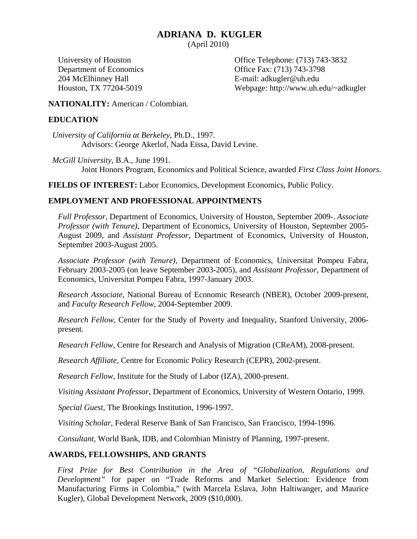# **ADRIANA D. KUGLER**

(April 2010)

204 McElhinney Hall E-mail: adkugler@uh.edu

University of Houston Office Telephone: (713) 743-3832 Department of Economics Office Fax: (713) 743-3798 Houston, TX 77204-5019 Webpage: http://www.uh.edu/~adkugler

# **NATIONALITY:** American / Colombian.

# **EDUCATION**

*University of California at Berkeley*, Ph.D., 1997. Advisors: George Akerlof, Nada Eissa, David Levine.

*McGill University*, B.A., June 1991. Joint Honors Program, Economics and Political Science, awarded *First Class Joint Honors.*

**FIELDS OF INTEREST:** Labor Economics, Development Economics, Public Policy.

# **EMPLOYMENT AND PROFESSIONAL APPOINTMENTS**

*Full Professor,* Department of Economics, University of Houston, September 2009-. *Associate Professor (with Tenure),* Department of Economics, University of Houston, September 2005- August 2009, and *Assistant Professor,* Department of Economics, University of Houston, September 2003-August 2005.

*Associate Professor (with Tenure)*, Department of Economics, Universitat Pompeu Fabra, February 2003-2005 (on leave September 2003-2005), and *Assistant Professor*, Department of Economics, Universitat Pompeu Fabra, 1997-January 2003.

*Research Associate*, National Bureau of Economic Research (NBER), October 2009-present, and *Faculty Research Fellow,* 2004-September 2009.

*Research Fellow,* Center for the Study of Poverty and Inequality, Stanford University, 2006 present.

*Research Fellow,* Centre for Research and Analysis of Migration (CReAM), 2008-present.

*Research Affiliate,* Centre for Economic Policy Research (CEPR), 2002-present.

*Research Fellow,* Institute for the Study of Labor (IZA), 2000-present.

*Visiting Assistant Professor*, Department of Economics, University of Western Ontario, 1999.

*Special Guest*, The Brookings Institution, 1996-1997.

*Visiting Scholar*, Federal Reserve Bank of San Francisco, San Francisco, 1994-1996.

*Consultant,* World Bank, IDB, and Colombian Ministry of Planning, 1997-present.

# **AWARDS, FELLOWSHIPS, AND GRANTS**

*First Prize for Best Contribution in the Area of "Globalization, Regulations and Development"* for paper on "Trade Reforms and Market Selection: Evidence from Manufacturing Firms in Colombia," (with Marcela Eslava, John Haltiwanger, and Maurice Kugler), Global Development Network, 2009 (\$10,000).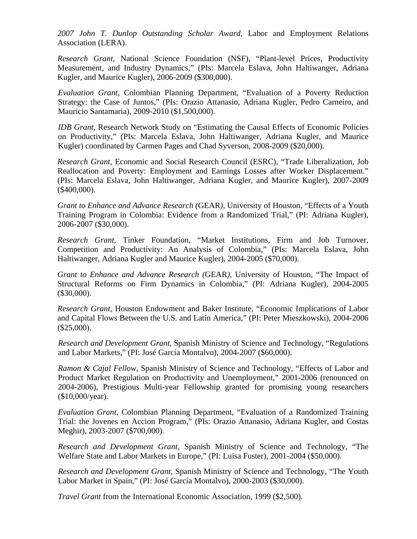*2007 John T. Dunlop Outstanding Scholar Award*, Labor and Employment Relations Association (LERA).

*Research Grant,* National Science Foundation (NSF), "Plant-level Prices, Productivity Measurement, and Industry Dynamics," (PIs: Marcela Eslava, John Haltiwanger, Adriana Kugler, and Maurice Kugler), 2006-2009 (\$300,000).

*Evaluation Grant*, Colombian Planning Department, "Evaluation of a Poverty Reduction Strategy: the Case of Juntos," (PIs: Orazio Attanasio, Adriana Kugler, Pedro Carneiro, and Mauricio Santamaria), 2009-2010 (\$1,500,000).

*IDB Grant,* Research Network Study on "Estimating the Causal Effects of Economic Policies on Productivity," (PIs: Marcela Eslava, John Haltiwanger, Adriana Kugler, and Maurice Kugler) coordinated by Carmen Pages and Chad Syverson, 2008-2009 (\$20,000).

*Research Grant,* Economic and Social Research Council (ESRC), "Trade Liberalization, Job Reallocation and Poverty: Employment and Earnings Losses after Worker Displacement." (PIs: Marcela Eslava, John Haltiwanger, Adriana Kugler, and Maurice Kugler), 2007-2009 (\$400,000).

*Grant to Enhance and Advance Research (*GEAR*),* University of Houston, "Effects of a Youth Training Program in Colombia: Evidence from a Randomized Trial," (PI: Adriana Kugler), 2006-2007 (\$30,000).

*Research Grant,* Tinker Foundation, "Market Institutions, Firm and Job Turnover, Competition and Productivity: An Analysis of Colombia," (PIs: Marcela Eslava, John Haltiwanger, Adriana Kugler and Maurice Kugler), 2004-2005 (\$70,000).

*Grant to Enhance and Advance Research (*GEAR*),* University of Houston, "The Impact of Structural Reforms on Firm Dynamics in Colombia," (PI: Adriana Kugler), 2004-2005 (\$30,000).

*Research Grant,* Houston Endowment and Baker Institute, "Economic Implications of Labor and Capital Flows Between the U.S. and Latin America," (PI: Peter Mieszkowski), 2004-2006 (\$25,000).

*Research and Development Grant,* Spanish Ministry of Science and Technology, "Regulations and Labor Markets," (PI: José García Montalvo), 2004-2007 (\$60,000).

*Ramon & Cajal Fellow,* Spanish Ministry of Science and Technology, "Effects of Labor and Product Market Regulation on Productivity and Unemployment," 2001-2006 (renounced on 2004-2006), Prestigious Multi-year Fellowship granted for promising young researchers (\$10,000/year).

*Evaluation Grant*, Colombian Planning Department, "Evaluation of a Randomized Training Trial: the Jovenes en Accion Program," (PIs: Orazio Attanasio, Adriana Kugler, and Costas Meghir), 2003-2007 (\$700,000).

*Research and Development Grant,* Spanish Ministry of Science and Technology, "The Welfare State and Labor Markets in Europe," (PI: Luisa Fuster), 2001-2004 (\$50,000).

*Research and Development Grant,* Spanish Ministry of Science and Technology, "The Youth Labor Market in Spain," (PI: José García Montalvo), 2000-2003 (\$30,000).

*Travel Grant* from the International Economic Association, 1999 (\$2,500).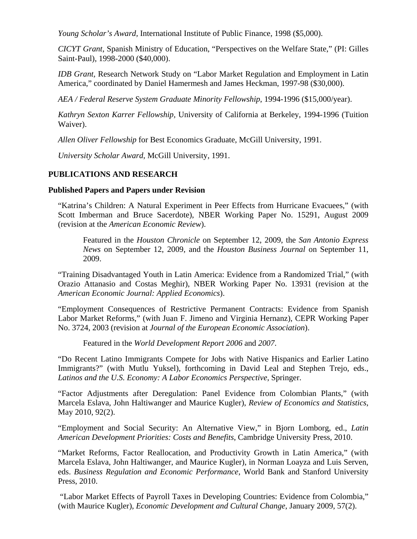*Young Scholar's Award,* International Institute of Public Finance, 1998 (\$5,000).

*CICYT Grant*, Spanish Ministry of Education, "Perspectives on the Welfare State," (PI: Gilles Saint-Paul), 1998-2000 (\$40,000).

*IDB Grant, Research Network Study on "Labor Market Regulation and Employment in Latin* America," coordinated by Daniel Hamermesh and James Heckman, 1997-98 (\$30,000).

*AEA / Federal Reserve System Graduate Minority Fellowship*, 1994-1996 (\$15,000/year).

*Kathryn Sexton Karrer Fellowship,* University of California at Berkeley, 1994-1996 (Tuition Waiver).

*Allen Oliver Fellowship* for Best Economics Graduate, McGill University, 1991.

*University Scholar Award*, McGill University, 1991.

# **PUBLICATIONS AND RESEARCH**

# **Published Papers and Papers under Revision**

"Katrina's Children: A Natural Experiment in Peer Effects from Hurricane Evacuees," (with Scott Imberman and Bruce Sacerdote), NBER Working Paper No. 15291, August 2009 (revision at the *American Economic Review*).

Featured in the *Houston Chronicle* on September 12, 2009, the *San Antonio Express News* on September 12, 2009, and the *Houston Business Journal* on September 11, 2009.

"Training Disadvantaged Youth in Latin America: Evidence from a Randomized Trial," (with Orazio Attanasio and Costas Meghir), NBER Working Paper No. 13931 (revision at the *American Economic Journal: Applied Economics*).

"Employment Consequences of Restrictive Permanent Contracts: Evidence from Spanish Labor Market Reforms," (with Juan F. Jimeno and Virginia Hernanz), CEPR Working Paper No. 3724, 2003 (revision at *Journal of the European Economic Association*).

Featured in the *World Development Report 2006* and *2007*.

"Do Recent Latino Immigrants Compete for Jobs with Native Hispanics and Earlier Latino Immigrants?" (with Mutlu Yuksel), forthcoming in David Leal and Stephen Trejo, eds., *Latinos and the U.S. Economy: A Labor Economics Perspective*, Springer.

"Factor Adjustments after Deregulation: Panel Evidence from Colombian Plants," (with Marcela Eslava, John Haltiwanger and Maurice Kugler), *Review of Economics and Statistics*, May 2010, 92(2).

"Employment and Social Security: An Alternative View," in Bjorn Lomborg, ed., *Latin American Development Priorities: Costs and Benefits*, Cambridge University Press, 2010.

"Market Reforms, Factor Reallocation, and Productivity Growth in Latin America," (with Marcela Eslava, John Haltiwanger, and Maurice Kugler), in Norman Loayza and Luis Serven, eds. *Business Regulation and Economic Performance*, World Bank and Stanford University Press, 2010.

 "Labor Market Effects of Payroll Taxes in Developing Countries: Evidence from Colombia," (with Maurice Kugler), *Economic Development and Cultural Change*, January 2009, 57(2).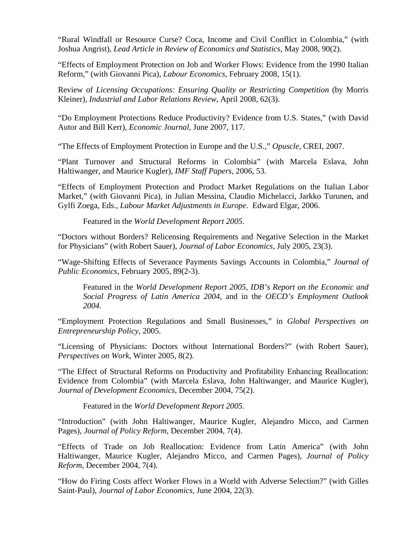"Rural Windfall or Resource Curse? Coca, Income and Civil Conflict in Colombia," (with Joshua Angrist), *Lead Article in Review of Economics and Statistics*, May 2008, 90(2).

"Effects of Employment Protection on Job and Worker Flows: Evidence from the 1990 Italian Reform," (with Giovanni Pica), *Labour Economics*, February 2008, 15(1).

Review of *Licensing Occupations: Ensuring Quality or Restricting Competition* (by Morris Kleiner), *Industrial and Labor Relations Review*, April 2008, 62(3).

"Do Employment Protections Reduce Productivity? Evidence from U.S. States," (with David Autor and Bill Kerr), *Economic Journal*, June 2007, 117.

"The Effects of Employment Protection in Europe and the U.S.," *Opuscle*, CREI, 2007.

"Plant Turnover and Structural Reforms in Colombia" (with Marcela Eslava, John Haltiwanger, and Maurice Kugler), *IMF Staff Papers*, 2006, 53.

"Effects of Employment Protection and Product Market Regulations on the Italian Labor Market," (with Giovanni Pica), in Julian Messina, Claudio Michelacci, Jarkko Turunen, and Gylfi Zoega, Eds., *Labour Market Adjustments in Europe*. Edward Elgar, 2006.

Featured in the *World Development Report 2005.* 

"Doctors without Borders? Relicensing Requirements and Negative Selection in the Market for Physicians" (with Robert Sauer), *Journal of Labor Economics*, July 2005, 23(3).

"Wage-Shifting Effects of Severance Payments Savings Accounts in Colombia," *Journal of Public Economics*, February 2005, 89(2-3).

Featured in the *World Development Report 2005, IDB's Report on the Economic and Social Progress of Latin America 2004,* and in the *OECD's Employment Outlook 2004.* 

"Employment Protection Regulations and Small Businesses," in *Global Perspectives on Entrepreneurship Policy*, 2005.

"Licensing of Physicians: Doctors without International Borders?" (with Robert Sauer), *Perspectives on Work*, Winter 2005, 8(2).

"The Effect of Structural Reforms on Productivity and Profitability Enhancing Reallocation: Evidence from Colombia" (with Marcela Eslava, John Haltiwanger, and Maurice Kugler), *Journal of Development Economics*, December 2004, 75(2).

Featured in the *World Development Report 2005.* 

"Introduction" (with John Haltiwanger, Maurice Kugler, Alejandro Micco, and Carmen Pages), *Journal of Policy Reform*, December 2004, 7(4).

"Effects of Trade on Job Reallocation: Evidence from Latin America" (with John Haltiwanger, Maurice Kugler, Alejandro Micco, and Carmen Pages), *Journal of Policy Reform*, December 2004, 7(4).

"How do Firing Costs affect Worker Flows in a World with Adverse Selection?" (with Gilles Saint-Paul), *Journal of Labor Economics*, June 2004, 22(3).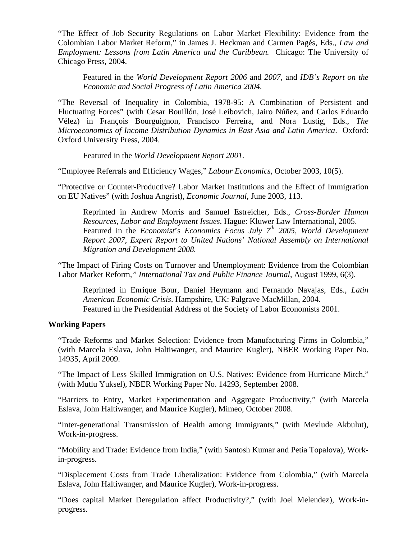"The Effect of Job Security Regulations on Labor Market Flexibility: Evidence from the Colombian Labor Market Reform," in James J. Heckman and Carmen Pagés, Eds., *Law and Employment: Lessons from Latin America and the Caribbean.* Chicago: The University of Chicago Press, 2004.

Featured in the *World Development Report 2006* and *2007*, and *IDB's Report on the Economic and Social Progress of Latin America 2004*.

"The Reversal of Inequality in Colombia, 1978-95: A Combination of Persistent and Fluctuating Forces" (with Cesar Bouillón, José Leibovich, Jairo Núñez, and Carlos Eduardo Vélez) in François Bourguignon, Francisco Ferreira, and Nora Lustig, Eds., *The Microeconomics of Income Distribution Dynamics in East Asia and Latin America*. Oxford: Oxford University Press, 2004.

Featured in the *World Development Report 2001.* 

"Employee Referrals and Efficiency Wages," *Labour Economics*, October 2003, 10(5).

"Protective or Counter-Productive? Labor Market Institutions and the Effect of Immigration on EU Natives" (with Joshua Angrist), *Economic Journal*, June 2003, 113.

Reprinted in Andrew Morris and Samuel Estreicher, Eds., *Cross-Border Human Resources, Labor and Employment Issues*. Hague: Kluwer Law International, 2005. Featured in the *Economist*'s *Economics Focus July 7th 2005, World Development Report 2007, Expert Report to United Nations' National Assembly on International Migration and Development 2008.* 

"The Impact of Firing Costs on Turnover and Unemployment: Evidence from the Colombian Labor Market Reform*," International Tax and Public Finance Journal*, August 1999, 6(3).

Reprinted in Enrique Bour, Daniel Heymann and Fernando Navajas, Eds., *Latin American Economic Crisis*. Hampshire, UK: Palgrave MacMillan, 2004. Featured in the Presidential Address of the Society of Labor Economists 2001.

# **Working Papers**

"Trade Reforms and Market Selection: Evidence from Manufacturing Firms in Colombia," (with Marcela Eslava, John Haltiwanger, and Maurice Kugler), NBER Working Paper No. 14935, April 2009.

"The Impact of Less Skilled Immigration on U.S. Natives: Evidence from Hurricane Mitch," (with Mutlu Yuksel), NBER Working Paper No. 14293, September 2008.

"Barriers to Entry, Market Experimentation and Aggregate Productivity," (with Marcela Eslava, John Haltiwanger, and Maurice Kugler), Mimeo, October 2008.

"Inter-generational Transmission of Health among Immigrants," (with Mevlude Akbulut), Work-in-progress.

"Mobility and Trade: Evidence from India," (with Santosh Kumar and Petia Topalova), Workin-progress.

"Displacement Costs from Trade Liberalization: Evidence from Colombia," (with Marcela Eslava, John Haltiwanger, and Maurice Kugler), Work-in-progress.

"Does capital Market Deregulation affect Productivity?," (with Joel Melendez), Work-inprogress.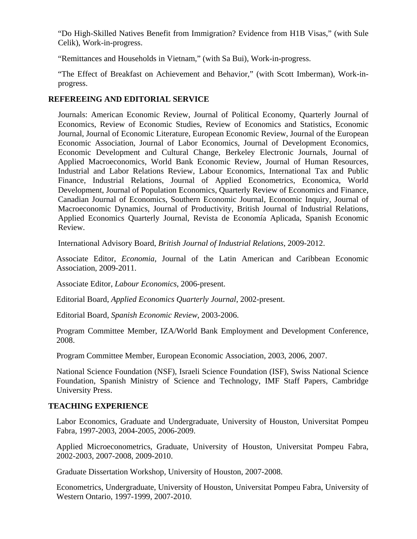"Do High-Skilled Natives Benefit from Immigration? Evidence from H1B Visas," (with Sule Celik), Work-in-progress.

"Remittances and Households in Vietnam," (with Sa Bui), Work-in-progress.

"The Effect of Breakfast on Achievement and Behavior," (with Scott Imberman), Work-inprogress.

# **REFEREEING AND EDITORIAL SERVICE**

Journals: American Economic Review, Journal of Political Economy, Quarterly Journal of Economics, Review of Economic Studies, Review of Economics and Statistics, Economic Journal, Journal of Economic Literature, European Economic Review, Journal of the European Economic Association, Journal of Labor Economics, Journal of Development Economics, Economic Development and Cultural Change, Berkeley Electronic Journals, Journal of Applied Macroeconomics, World Bank Economic Review, Journal of Human Resources, Industrial and Labor Relations Review, Labour Economics, International Tax and Public Finance, Industrial Relations, Journal of Applied Econometrics, Economica, World Development, Journal of Population Economics, Quarterly Review of Economics and Finance, Canadian Journal of Economics, Southern Economic Journal, Economic Inquiry, Journal of Macroeconomic Dynamics, Journal of Productivity, British Journal of Industrial Relations, Applied Economics Quarterly Journal, Revista de Economía Aplicada, Spanish Economic Review.

International Advisory Board, *British Journal of Industrial Relations*, 2009-2012.

Associate Editor, *Economia*, Journal of the Latin American and Caribbean Economic Association, 2009-2011.

Associate Editor, *Labour Economics*, 2006-present.

Editorial Board, *Applied Economics Quarterly Journal*, 2002-present.

Editorial Board, *Spanish Economic Review*, 2003-2006.

Program Committee Member, IZA/World Bank Employment and Development Conference, 2008.

Program Committee Member, European Economic Association, 2003, 2006, 2007.

National Science Foundation (NSF), Israeli Science Foundation (ISF), Swiss National Science Foundation, Spanish Ministry of Science and Technology, IMF Staff Papers, Cambridge University Press.

# **TEACHING EXPERIENCE**

Labor Economics, Graduate and Undergraduate, University of Houston, Universitat Pompeu Fabra, 1997-2003, 2004-2005, 2006-2009.

Applied Microeconometrics, Graduate, University of Houston, Universitat Pompeu Fabra, 2002-2003, 2007-2008, 2009-2010.

Graduate Dissertation Workshop, University of Houston, 2007-2008.

Econometrics, Undergraduate, University of Houston, Universitat Pompeu Fabra, University of Western Ontario, 1997-1999, 2007-2010.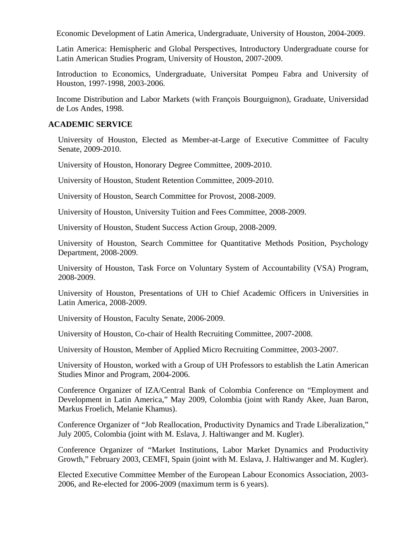Economic Development of Latin America, Undergraduate, University of Houston, 2004-2009.

Latin America: Hemispheric and Global Perspectives, Introductory Undergraduate course for Latin American Studies Program, University of Houston, 2007-2009.

Introduction to Economics, Undergraduate, Universitat Pompeu Fabra and University of Houston, 1997-1998, 2003-2006.

Income Distribution and Labor Markets (with François Bourguignon), Graduate, Universidad de Los Andes, 1998.

#### **ACADEMIC SERVICE**

University of Houston, Elected as Member-at-Large of Executive Committee of Faculty Senate, 2009-2010.

University of Houston, Honorary Degree Committee, 2009-2010.

University of Houston, Student Retention Committee, 2009-2010.

University of Houston, Search Committee for Provost, 2008-2009.

University of Houston, University Tuition and Fees Committee, 2008-2009.

University of Houston, Student Success Action Group, 2008-2009.

University of Houston, Search Committee for Quantitative Methods Position, Psychology Department, 2008-2009.

University of Houston, Task Force on Voluntary System of Accountability (VSA) Program, 2008-2009.

University of Houston, Presentations of UH to Chief Academic Officers in Universities in Latin America, 2008-2009.

University of Houston, Faculty Senate, 2006-2009.

University of Houston, Co-chair of Health Recruiting Committee, 2007-2008.

University of Houston, Member of Applied Micro Recruiting Committee, 2003-2007.

University of Houston, worked with a Group of UH Professors to establish the Latin American Studies Minor and Program, 2004-2006.

Conference Organizer of IZA/Central Bank of Colombia Conference on "Employment and Development in Latin America," May 2009, Colombia (joint with Randy Akee, Juan Baron, Markus Froelich, Melanie Khamus).

Conference Organizer of "Job Reallocation, Productivity Dynamics and Trade Liberalization," July 2005, Colombia (joint with M. Eslava, J. Haltiwanger and M. Kugler).

Conference Organizer of "Market Institutions, Labor Market Dynamics and Productivity Growth," February 2003, CEMFI, Spain (joint with M. Eslava, J. Haltiwanger and M. Kugler).

Elected Executive Committee Member of the European Labour Economics Association, 2003- 2006, and Re-elected for 2006-2009 (maximum term is 6 years).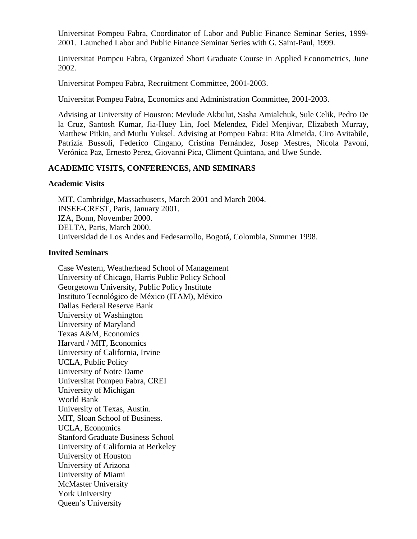Universitat Pompeu Fabra, Coordinator of Labor and Public Finance Seminar Series, 1999- 2001. Launched Labor and Public Finance Seminar Series with G. Saint-Paul, 1999.

Universitat Pompeu Fabra, Organized Short Graduate Course in Applied Econometrics, June 2002.

Universitat Pompeu Fabra, Recruitment Committee, 2001-2003.

Universitat Pompeu Fabra, Economics and Administration Committee, 2001-2003.

Advising at University of Houston: Mevlude Akbulut, Sasha Amialchuk, Sule Celik, Pedro De la Cruz, Santosh Kumar, Jia-Huey Lin, Joel Melendez, Fidel Menjivar, Elizabeth Murray, Matthew Pitkin, and Mutlu Yuksel. Advising at Pompeu Fabra: Rita Almeida, Ciro Avitabile, Patrizia Bussoli, Federico Cingano, Cristina Fernández, Josep Mestres, Nicola Pavoni, Verónica Paz, Ernesto Perez, Giovanni Pica, Climent Quintana, and Uwe Sunde.

# **ACADEMIC VISITS, CONFERENCES, AND SEMINARS**

#### **Academic Visits**

MIT, Cambridge, Massachusetts, March 2001 and March 2004. INSEE-CREST, Paris, January 2001. IZA, Bonn, November 2000. DELTA, Paris, March 2000. Universidad de Los Andes and Fedesarrollo, Bogotá, Colombia, Summer 1998.

#### **Invited Seminars**

Case Western, Weatherhead School of Management University of Chicago, Harris Public Policy School Georgetown University, Public Policy Institute Instituto Tecnológico de México (ITAM), México Dallas Federal Reserve Bank University of Washington University of Maryland Texas A&M, Economics Harvard / MIT, Economics University of California, Irvine UCLA, Public Policy University of Notre Dame Universitat Pompeu Fabra, CREI University of Michigan World Bank University of Texas, Austin. MIT, Sloan School of Business. UCLA, Economics Stanford Graduate Business School University of California at Berkeley University of Houston University of Arizona University of Miami McMaster University York University Queen's University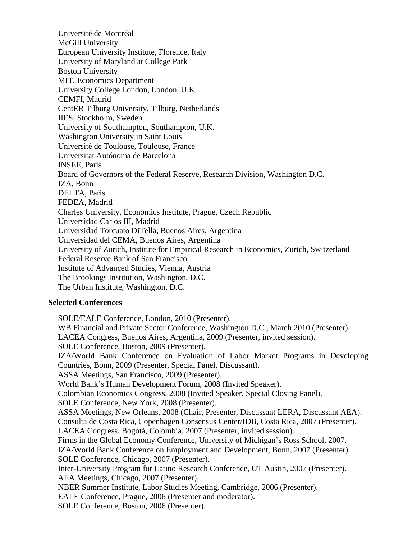Université de Montréal McGill University European University Institute, Florence, Italy University of Maryland at College Park Boston University MIT, Economics Department University College London, London, U.K. CEMFI, Madrid CentER Tilburg University, Tilburg, Netherlands IIES, Stockholm, Sweden University of Southampton, Southampton, U.K. Washington University in Saint Louis Université de Toulouse, Toulouse, France Universitat Autónoma de Barcelona INSEE, Paris Board of Governors of the Federal Reserve, Research Division, Washington D.C. IZA, Bonn DELTA, Paris FEDEA, Madrid Charles University, Economics Institute, Prague, Czech Republic Universidad Carlos III, Madrid Universidad Torcuato DiTella, Buenos Aires, Argentina Universidad del CEMA, Buenos Aires, Argentina University of Zurich, Institute for Empirical Research in Economics, Zurich, Switzerland Federal Reserve Bank of San Francisco Institute of Advanced Studies, Vienna, Austria The Brookings Institution, Washington, D.C. The Urban Institute, Washington, D.C.

# **Selected Conferences**

SOLE/EALE Conference, London, 2010 (Presenter). WB Financial and Private Sector Conference, Washington D.C., March 2010 (Presenter). LACEA Congress, Buenos Aires, Argentina, 2009 (Presenter, invited session). SOLE Conference, Boston, 2009 (Presenter). IZA/World Bank Conference on Evaluation of Labor Market Programs in Developing Countries, Bonn, 2009 (Presenter, Special Panel, Discussant). ASSA Meetings, San Francisco, 2009 (Presenter). World Bank's Human Development Forum, 2008 (Invited Speaker). Colombian Economics Congress, 2008 (Invited Speaker, Special Closing Panel). SOLE Conference, New York, 2008 (Presenter). ASSA Meetings, New Orleans, 2008 (Chair, Presenter, Discussant LERA, Discussant AEA). Consulta de Costa Rica, Copenhagen Consensus Center/IDB, Costa Rica, 2007 (Presenter). LACEA Congress, Bogotá, Colombia, 2007 (Presenter, invited session). Firms in the Global Economy Conference, University of Michigan's Ross School, 2007. IZA/World Bank Conference on Employment and Development, Bonn, 2007 (Presenter). SOLE Conference, Chicago, 2007 (Presenter). Inter-University Program for Latino Research Conference, UT Austin, 2007 (Presenter). AEA Meetings, Chicago, 2007 (Presenter). NBER Summer Institute, Labor Studies Meeting, Cambridge, 2006 (Presenter). EALE Conference, Prague, 2006 (Presenter and moderator). SOLE Conference, Boston, 2006 (Presenter).